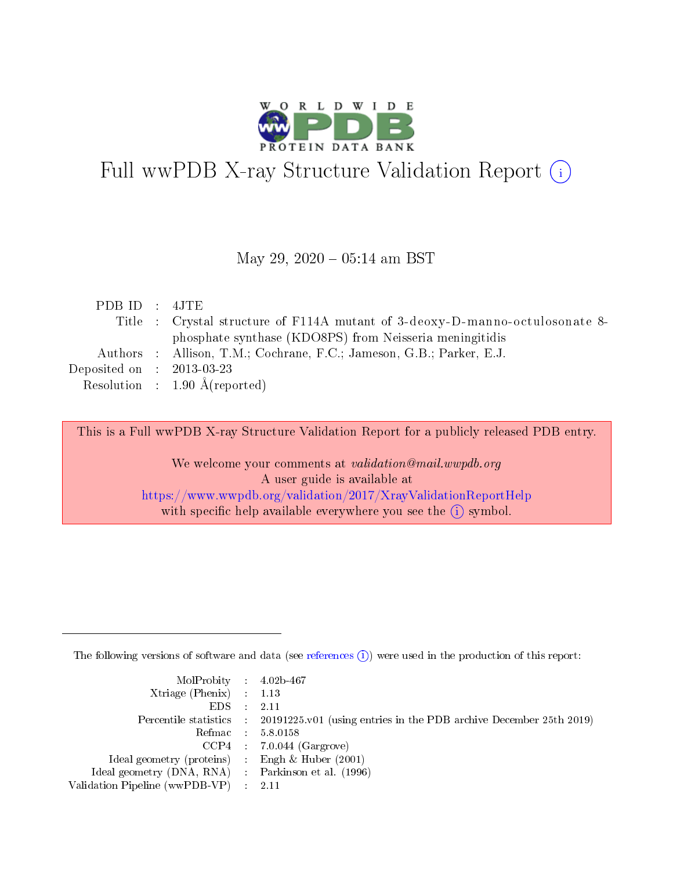

# Full wwPDB X-ray Structure Validation Report (i)

#### May 29,  $2020 - 05:14$  am BST

| PDB ID : 4JTE                        |                                                                             |
|--------------------------------------|-----------------------------------------------------------------------------|
|                                      | Title: Crystal structure of F114A mutant of 3-deoxy-D-manno-octulosonate 8- |
|                                      | phosphate synthase (KDO8PS) from Neisseria meningitidis                     |
|                                      | Authors : Allison, T.M.; Cochrane, F.C.; Jameson, G.B.; Parker, E.J.        |
| Deposited on $\therefore$ 2013-03-23 |                                                                             |
|                                      | Resolution : $1.90 \text{ Å}$ (reported)                                    |

This is a Full wwPDB X-ray Structure Validation Report for a publicly released PDB entry.

We welcome your comments at validation@mail.wwpdb.org A user guide is available at <https://www.wwpdb.org/validation/2017/XrayValidationReportHelp> with specific help available everywhere you see the  $(i)$  symbol.

The following versions of software and data (see [references](https://www.wwpdb.org/validation/2017/XrayValidationReportHelp#references)  $(i)$ ) were used in the production of this report:

| $MolProbability$ 4.02b-467                          |                                                                                            |
|-----------------------------------------------------|--------------------------------------------------------------------------------------------|
| Xtriage (Phenix) $: 1.13$                           |                                                                                            |
| $EDS$ :                                             | -2.11                                                                                      |
|                                                     | Percentile statistics : 20191225.v01 (using entries in the PDB archive December 25th 2019) |
|                                                     | Refmac : 5.8.0158                                                                          |
|                                                     | $CCP4$ : 7.0.044 (Gargrove)                                                                |
| Ideal geometry (proteins) : Engh $\&$ Huber (2001)  |                                                                                            |
| Ideal geometry (DNA, RNA) : Parkinson et al. (1996) |                                                                                            |
| Validation Pipeline (wwPDB-VP)                      | -2.11                                                                                      |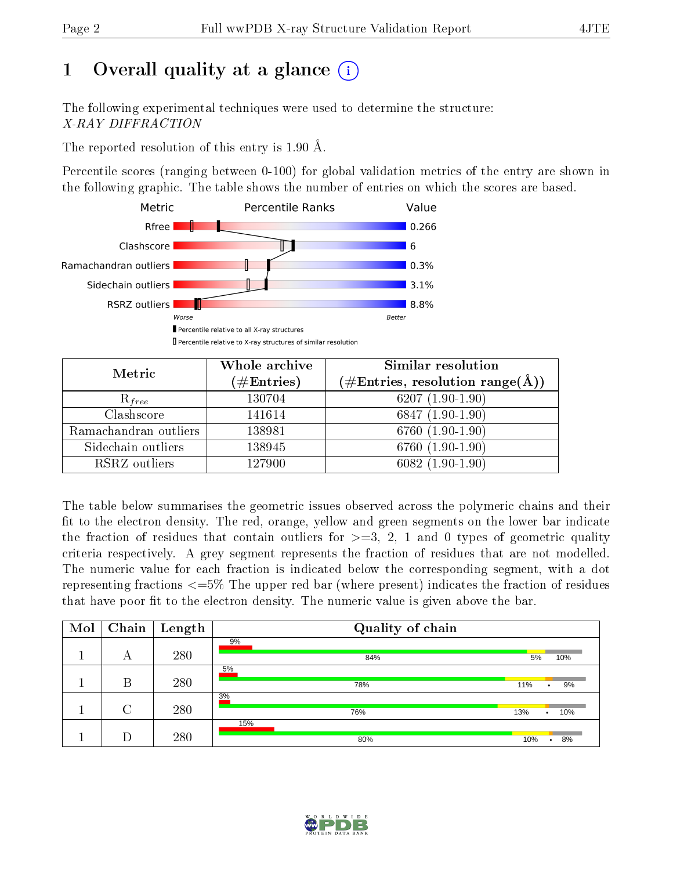# 1 [O](https://www.wwpdb.org/validation/2017/XrayValidationReportHelp#overall_quality)verall quality at a glance  $(i)$

The following experimental techniques were used to determine the structure: X-RAY DIFFRACTION

The reported resolution of this entry is 1.90 Å.

Percentile scores (ranging between 0-100) for global validation metrics of the entry are shown in the following graphic. The table shows the number of entries on which the scores are based.



| Metric                | Whole archive<br>$(\#\mathrm{Entries})$ | Similar resolution<br>$(\#\text{Entries},\,\text{resolution}\,\,\text{range}(\textup{\AA}))$ |
|-----------------------|-----------------------------------------|----------------------------------------------------------------------------------------------|
| $R_{free}$            | 130704                                  | $6207(1.90-1.90)$                                                                            |
| Clashscore            | 141614                                  | $6847(1.90-1.90)$                                                                            |
| Ramachandran outliers | 138981                                  | 6760 (1.90-1.90)                                                                             |
| Sidechain outliers    | 138945                                  | 6760 (1.90-1.90)                                                                             |
| RSRZ outliers         | 127900                                  | $6082(1.90-1.90)$                                                                            |

The table below summarises the geometric issues observed across the polymeric chains and their fit to the electron density. The red, orange, yellow and green segments on the lower bar indicate the fraction of residues that contain outliers for  $>=3, 2, 1$  and 0 types of geometric quality criteria respectively. A grey segment represents the fraction of residues that are not modelled. The numeric value for each fraction is indicated below the corresponding segment, with a dot representing fractions <=5% The upper red bar (where present) indicates the fraction of residues that have poor fit to the electron density. The numeric value is given above the bar.

| Mol | Chain  | $\perp$ Length | Quality of chain |                         |
|-----|--------|----------------|------------------|-------------------------|
|     | А      | 280            | 9%<br>84%        | 5%<br>10%               |
|     | Β      | 280            | 5%<br>78%        | 9%<br>11%<br>٠          |
|     | $\cap$ | 280            | 3%<br>76%        | 13%<br>10%<br>$\bullet$ |
|     |        | 280            | 15%<br>80%       | 8%<br>10%               |

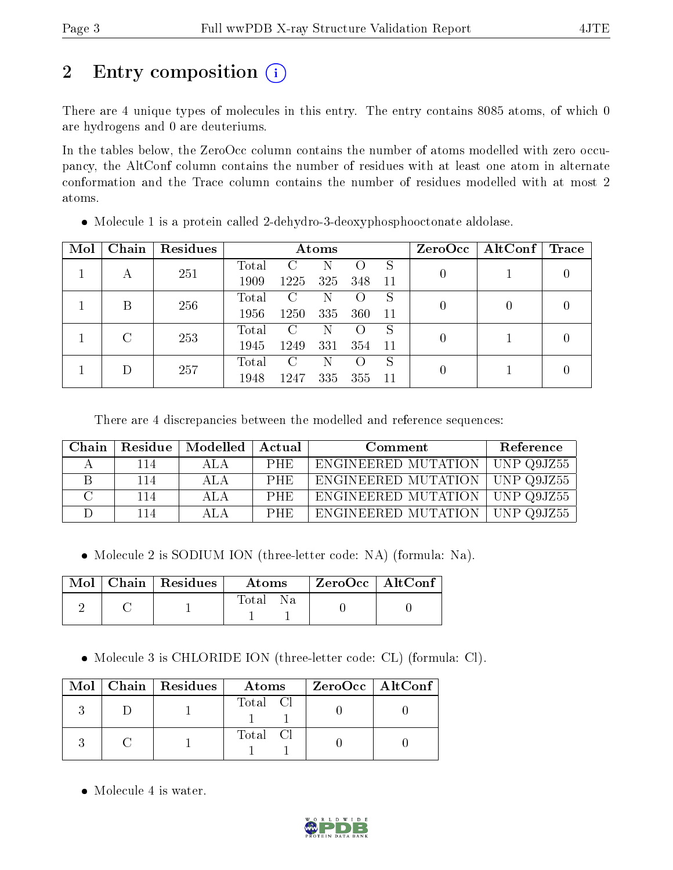# 2 Entry composition (i)

There are 4 unique types of molecules in this entry. The entry contains 8085 atoms, of which 0 are hydrogens and 0 are deuteriums.

In the tables below, the ZeroOcc column contains the number of atoms modelled with zero occupancy, the AltConf column contains the number of residues with at least one atom in alternate conformation and the Trace column contains the number of residues modelled with at most 2 atoms.

| Mol | Chain | Residues | Atoms         |      |                  |     |    |                  | $ZeroOcc \mid AltConf \mid$ | $\operatorname{Trace}$ |
|-----|-------|----------|---------------|------|------------------|-----|----|------------------|-----------------------------|------------------------|
|     |       | 251      | Total         | C    | N                |     | S  |                  |                             |                        |
|     | A     |          | 1909          | 1225 | 325              | 348 | 11 |                  |                             |                        |
|     | B     | 256      | Total         | C    | N                |     | S  | $\left( \right)$ | $\left( \right)$            |                        |
|     |       | 1956     | 1250          | 335  | 360              | 11  |    |                  |                             |                        |
|     |       | 253<br>C | Total         | C    | N                |     | S  |                  |                             |                        |
|     |       | 1945     | 1249          | 331  | 354              | -11 | 0  |                  |                             |                        |
|     | 257   | Total    | $\mathcal{C}$ | N    | $\left( \right)$ | S   |    |                  |                             |                        |
|     |       | 1948     | 1247          | 335  | 355              | 11  |    |                  |                             |                        |

Molecule 1 is a protein called 2-dehydro-3-deoxyphosphooctonate aldolase.

There are 4 discrepancies between the modelled and reference sequences:

| Chain |     | Residue   Modelled   Actual |            | Comment                          | Reference         |
|-------|-----|-----------------------------|------------|----------------------------------|-------------------|
|       | 114 | ALA                         | PHE.       | ENGINEERED MUTATION              | $\mid$ UNP Q9JZ55 |
|       | 114 | ALA.                        | PHE.       | ENGINEERED MUTATION   UNP Q9JZ55 |                   |
|       | 114 | ALA.                        | <b>PHE</b> | ENGINEERED MUTATION   UNP Q9JZ55 |                   |
|       | 114 | ALA.                        | <b>PHE</b> | ENGINEERED MUTATION              | $\mid$ UNP Q9JZ55 |

Molecule 2 is SODIUM ION (three-letter code: NA) (formula: Na).

|  | $Mol$   Chain   Residues | Atoms         | $\mid$ ZeroOcc $\mid$ AltConf $\mid$ |  |
|--|--------------------------|---------------|--------------------------------------|--|
|  |                          | Total<br>- Na |                                      |  |

Molecule 3 is CHLORIDE ION (three-letter code: CL) (formula: Cl).

|  | Mol   Chain   Residues | Atoms    | ZeroOcc   AltConf |  |
|--|------------------------|----------|-------------------|--|
|  |                        | Total Cl |                   |  |
|  |                        | Total Cl |                   |  |

• Molecule 4 is water.

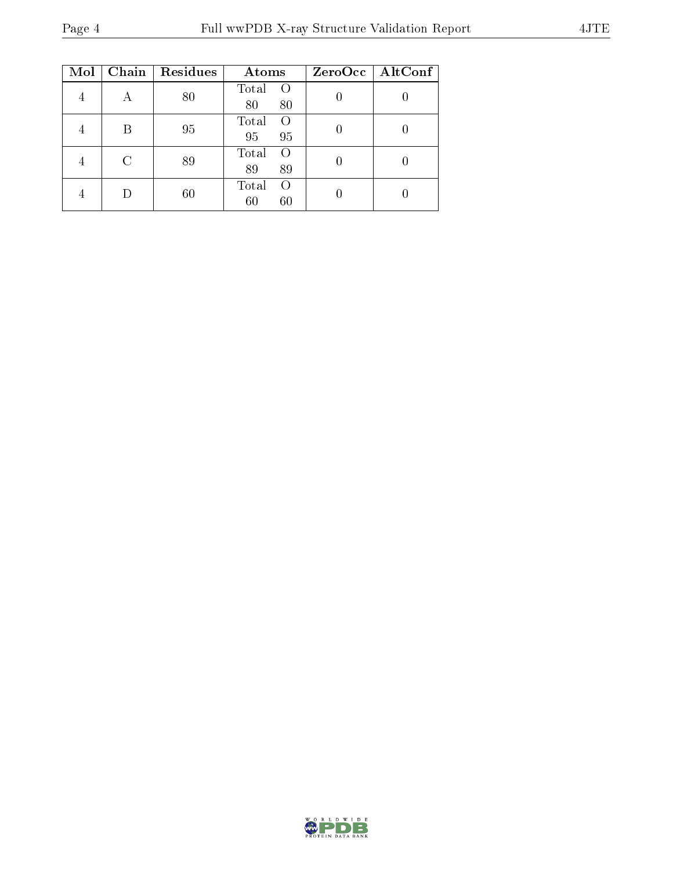| Mol | Chain | Residues | Atoms                                 | $ZeroOcc$   AltConf |
|-----|-------|----------|---------------------------------------|---------------------|
|     |       | 80       | Total<br>$\left( \right)$<br>80<br>80 |                     |
|     | B     | 95       | Total<br>$\left( \right)$<br>95<br>95 |                     |
|     |       | 89       | Total<br>$\Omega$<br>89<br>89         |                     |
|     |       | 60       | Total<br>$\Omega$<br>60<br>60         |                     |

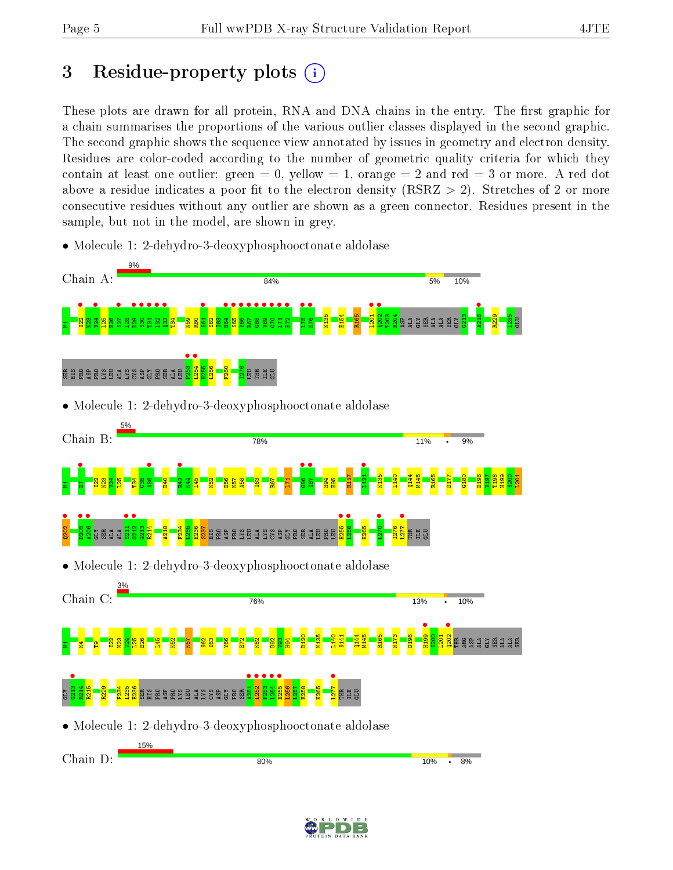# 3 Residue-property plots  $(i)$

These plots are drawn for all protein, RNA and DNA chains in the entry. The first graphic for a chain summarises the proportions of the various outlier classes displayed in the second graphic. The second graphic shows the sequence view annotated by issues in geometry and electron density. Residues are color-coded according to the number of geometric quality criteria for which they contain at least one outlier: green  $= 0$ , yellow  $= 1$ , orange  $= 2$  and red  $= 3$  or more. A red dot above a residue indicates a poor fit to the electron density (RSRZ  $> 2$ ). Stretches of 2 or more consecutive residues without any outlier are shown as a green connector. Residues present in the sample, but not in the model, are shown in grey.

- Chain A: 84% 5% 10% Manus<br>Manus<br>Manus <mark>e</mark>  $\bullet$  $\frac{1}{2}$  $\frac{•}{\frac{8}{2}}$  $\frac{1}{2}$  $\frac{\bullet}{2}$   $\frac{\bullet}{2}$  $\frac{133}{133}$  $\frac{1}{162}$ 164 •  $\frac{1}{25}$  $\frac{1}{2}$  $\frac{1}{2}$ •<br>"  $\frac{1}{2}$  $\frac{1}{2}$  $\frac{1}{2}$ E72 •  $\frac{1}{2}$ **•**<br>K76 ••  $\frac{1201}{1000}$  $\frac{1202}{1002}$ **4216** K135 E154 R165 T203 <mark>s</mark><br>Radamad  $\frac{213}{2}$ R229 L235 SER GLU  $^{\rm 23}$ T34 N59 R60 S62 I63 GLY P253 •<br>Loga  $\frac{1254}{\sqrt{255}}$ H255 L256 F260 I276 SER HIS PRO ASP ESB ES S S S S E B E LEU LEU THR ILE GLU • Molecule 1: 2-dehydro-3-deoxyphosphooctonate aldolase Chain B: 78% 11% 9%  $\bullet$ M<mark>and</mark><br>Manazarta<br>Manazarta  $\frac{1}{2}$ **•**<br>E43<br>E43 •<br>88<br>88  $\bullet$   $\bullet$   $\bullet$  $\frac{1}{2}$ R117 K135 L140 Q144 M145 R165 D177 G180 D196 V197 T198 H199 S200  $\frac{1}{2}$  $\frac{125}{2}$  $\frac{1}{2}$ ខ្លី E40  $\frac{1}{1}$ L45 K52 D56  $\frac{1}{16}$ A58 I63  $R_{\overline{5}}$  $\overline{11}$  $\frac{4}{194}$ E95  $\frac{1}{2}$  $\frac{1}{205}$ <mark>a<sub>206</sub><br>G</mark>erman<br>Alama  $\frac{•}{211}$  $\frac{1}{2}$ H255 •  $256$  •  $\bullet$   $\bullet$  $\frac{1}{277}$  $\frac{23}{2}$ R214 A218 F234  $\frac{25}{25}$ E236 s<br>Seren Bruns Sene Bar K265 I276  $\overline{\mathbf{H}}$ THR GLU ILE • Molecule 1: 2-dehydro-3-deoxyphosphooctonate aldolase Chain C: 76% **13%** 10%  $\ddot{\phantom{0}}$ **e**  $\frac{202}{\pi}$ D120 K135 L140 S141 Q144 M145 R165 N173 D196 S200  $201$ <sub>로</sub>디행<mark>\_ bl 및</mark> 있 N23  $\frac{1}{2}$  $\frac{125}{2}$  $\frac{8}{2}$ L45 K52 K57 S62 I63 Y66  $E_1$  $\frac{82}{2}$ D92  $\frac{3}{2}$  $\frac{4}{9}$ E S S S S S S S S S  $\frac{1}{2}$   $\frac{1}{4}$   $\frac{1}{4}$   $\frac{1}{4}$   $\frac{1}{4}$   $\frac{1}{4}$   $\frac{1}{4}$   $\frac{1}{4}$   $\frac{1}{4}$   $\frac{1}{4}$   $\frac{1}{4}$   $\frac{1}{4}$   $\frac{1}{4}$   $\frac{1}{4}$   $\frac{1}{4}$   $\frac{1}{4}$   $\frac{1}{4}$   $\frac{1}{4}$   $\frac{1}{4}$   $\frac{1}{4}$   $\frac{1}{4}$   $\frac{1}{4}$   $\frac{1}{251}$  $L252$   $\bullet$ P253 •<br>IPE4  $L254$   $\bullet$ H255 •  $\frac{1277}{127}$ R214 R215 R229 F234 L235 s<br>Servangens så så s L256 L257 E258 K265 GLY  $\mathbb{E}$ THR ILE GLU • Molecule 1: 2-dehydro-3-deoxyphosphooctonate aldolase 15% Chain D:80%  $10%$  $R%$
- Molecule 1: 2-dehydro-3-deoxyphosphooctonate aldolase



 $\cdot$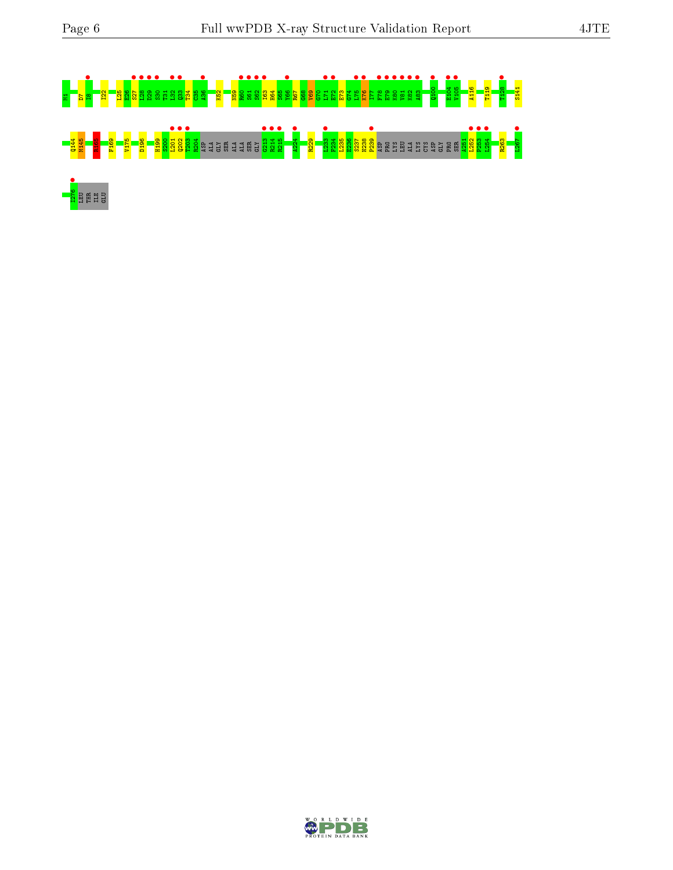

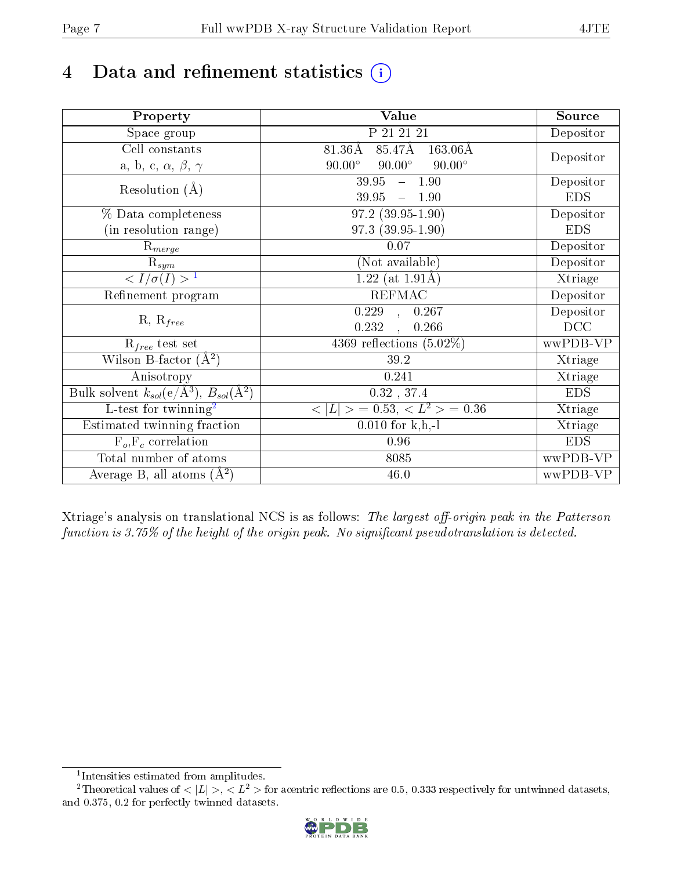# 4 Data and refinement statistics  $(i)$

| Property                                                             | Value                                           | Source     |
|----------------------------------------------------------------------|-------------------------------------------------|------------|
| Space group                                                          | P 21 21 21                                      | Depositor  |
| Cell constants                                                       | 85.47Å<br>81.36Å<br>$163.06\text{\AA}$          |            |
| a, b, c, $\alpha$ , $\beta$ , $\gamma$                               | $90.00^\circ$<br>$90.00^\circ$<br>$90.00^\circ$ | Depositor  |
| Resolution $(A)$                                                     | 39.95<br>$-1.90$                                | Depositor  |
|                                                                      | 39.95<br>$-1.90$                                | <b>EDS</b> |
| % Data completeness                                                  | $97.2(39.95-1.90)$                              | Depositor  |
| (in resolution range)                                                | $97.3(39.95-1.90)$                              | <b>EDS</b> |
| $R_{merge}$                                                          | 0.07                                            | Depositor  |
| $\mathrm{R}_{sym}$                                                   | (Not available)                                 | Depositor  |
| $\langle I/\sigma(I) \rangle^{-1}$                                   | $1.22$ (at 1.91Å)                               | Xtriage    |
| Refinement program                                                   | <b>REFMAC</b>                                   | Depositor  |
|                                                                      | 0.229<br>0.267<br>$\mathbb{R}$                  | Depositor  |
| $R, R_{free}$                                                        | 0.232<br>0.266                                  | DCC        |
| $R_{free}$ test set                                                  | 4369 reflections $(5.02\%)$                     | wwPDB-VP   |
| Wilson B-factor $(A^2)$                                              | 39.2                                            | Xtriage    |
| Anisotropy                                                           | 0.241                                           | Xtriage    |
| Bulk solvent $k_{sol}(e/\mathring{A}^3)$ , $B_{sol}(\mathring{A}^2)$ | $0.32$ , 37.4                                   | <b>EDS</b> |
| L-test for twinning <sup>2</sup>                                     | $< L >$ = 0.53, $< L2$ = 0.36                   | Xtriage    |
| Estimated twinning fraction                                          | $0.010$ for k,h,-l                              | Xtriage    |
| $F_o, F_c$ correlation                                               | 0.96                                            | <b>EDS</b> |
| Total number of atoms                                                | 8085                                            | wwPDB-VP   |
| Average B, all atoms $(A^2)$                                         | 46.0                                            | wwPDB-VP   |

Xtriage's analysis on translational NCS is as follows: The largest off-origin peak in the Patterson function is  $3.75\%$  of the height of the origin peak. No significant pseudotranslation is detected.

<sup>&</sup>lt;sup>2</sup>Theoretical values of  $\langle |L| \rangle$ ,  $\langle L^2 \rangle$  for acentric reflections are 0.5, 0.333 respectively for untwinned datasets, and 0.375, 0.2 for perfectly twinned datasets.



<span id="page-6-1"></span><span id="page-6-0"></span><sup>1</sup> Intensities estimated from amplitudes.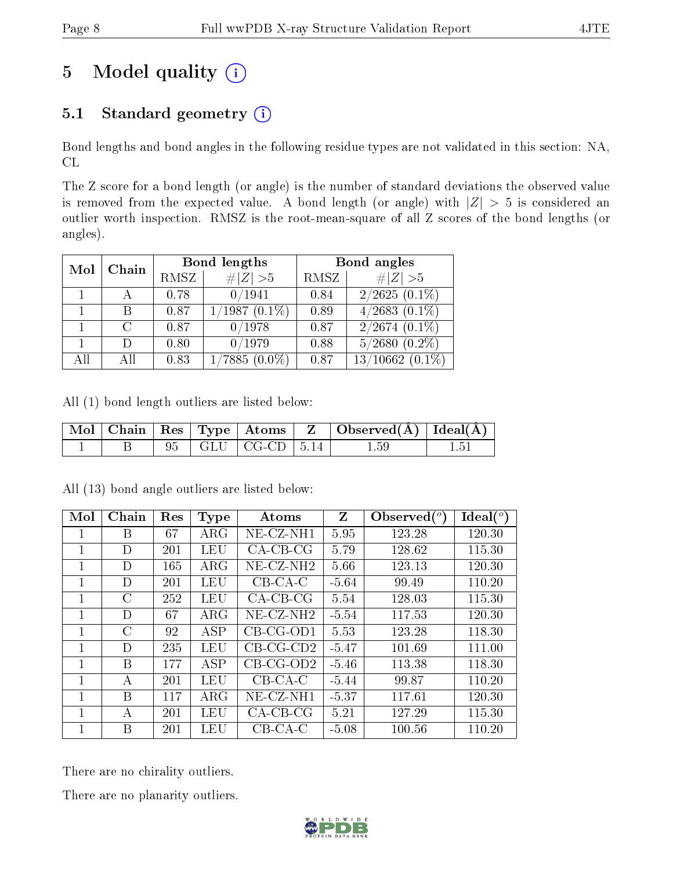# 5 Model quality  $(i)$

### 5.1 Standard geometry  $(i)$

Bond lengths and bond angles in the following residue types are not validated in this section: NA, CL

The Z score for a bond length (or angle) is the number of standard deviations the observed value is removed from the expected value. A bond length (or angle) with  $|Z| > 5$  is considered an outlier worth inspection. RMSZ is the root-mean-square of all Z scores of the bond lengths (or angles).

| Mol | Chain         |      | Bond lengths    | Bond angles |                               |  |
|-----|---------------|------|-----------------|-------------|-------------------------------|--|
|     |               | RMSZ | $\ Z\  > 5$     | RMSZ        | # $ Z >5$                     |  |
|     |               | 0.78 | 0/1941          | 0.84        | $2/2625(0.1\%)$               |  |
|     | В             | 0.87 | $1/1987(0.1\%)$ | 0.89        | $4/2683$ $(0.1\%)$            |  |
|     | $\mathcal{C}$ | 0.87 | 0/1978          | 0.87        | $2/2674$ $(0.\overline{1\%)}$ |  |
|     | $\Box$        | 0.80 | 0/1979          | 0.88        | $5/2680$ $(0.2\%)$            |  |
| All | Αll           | 0.83 | $1/7885(0.0\%)$ | 0.87        | $13/10662$ (0.1%)             |  |

All (1) bond length outliers are listed below:

|  |  |                         | $\mid$ Mol $\mid$ Chain $\mid$ Res $\mid$ Type $\mid$ Atoms $\mid$ Z $\mid$ Observed(A) $\mid$ Ideal(A) $\mid$ |  |
|--|--|-------------------------|----------------------------------------------------------------------------------------------------------------|--|
|  |  | 95   GLU   CG-CD   5.14 | $1.59\,$                                                                                                       |  |

| Mol          | Chain         | Res | <b>Type</b> | Atoms                 | Z       | Observed $(^\circ)$ | $\text{Ideal}({}^o)$ |
|--------------|---------------|-----|-------------|-----------------------|---------|---------------------|----------------------|
| 1            | B             | 67  | $\rm{ARG}$  | $NE- CZ-NH1$          | 5.95    | 123.28              | 120.30               |
| 1            | D             | 201 | LEU         | $CA-CB-CG$            | 5.79    | 128.62              | 115.30               |
| 1            | D             | 165 | $\rm{ARG}$  | $NE-CZ-NH2$           | 5.66    | 123.13              | 120.30               |
| 1            | D             | 201 | LEU         | $CB-CA-C$             | $-5.64$ | 99.49               | 110.20               |
| 1            | $\rm C$       | 252 | LEU         | $CA-CB-CG$            | 5.54    | 128.03              | 115.30               |
| 1            | D             | 67  | $\rm{ARG}$  | NE-CZ-NH <sub>2</sub> | $-5.54$ | 117.53              | 120.30               |
| 1            | $\mathcal{C}$ | 92  | <b>ASP</b>  | $CB-CG-OD1$           | 5.53    | 123.28              | 118.30               |
| 1            | D             | 235 | LEU         | $CB-CG-CD2$           | $-5.47$ | 101.69              | 111.00               |
| 1            | B             | 177 | ASP         | $CB-CG-OD2$           | $-5.46$ | 113.38              | 118.30               |
| 1            | А             | 201 | LEU         | $CB-CA-C$             | $-5.44$ | 99.87               | 110.20               |
| 1            | B             | 117 | $\rm{ARG}$  | NE-CZ-NH1             | $-5.37$ | 117.61              | 120.30               |
| $\mathbf{1}$ | А             | 201 | LEU         | $CA-CB-CG$            | 5.21    | 127.29              | 115.30               |
|              | B             | 201 | LEU         | $CB-CA-C$             | $-5.08$ | 100.56              | 110.20               |

All (13) bond angle outliers are listed below:

There are no chirality outliers.

There are no planarity outliers.

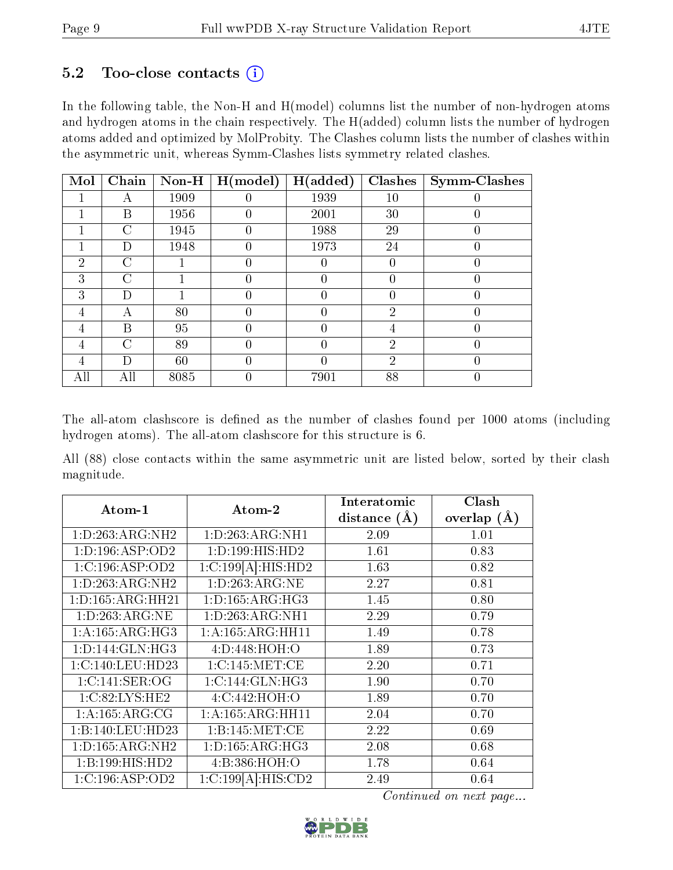### $5.2$  Too-close contacts  $(i)$

In the following table, the Non-H and H(model) columns list the number of non-hydrogen atoms and hydrogen atoms in the chain respectively. The H(added) column lists the number of hydrogen atoms added and optimized by MolProbity. The Clashes column lists the number of clashes within the asymmetric unit, whereas Symm-Clashes lists symmetry related clashes.

| Mol            | Chain          | $Non-H$ | H (model)        | H(added) | <b>Clashes</b> | <b>Symm-Clashes</b> |
|----------------|----------------|---------|------------------|----------|----------------|---------------------|
|                |                | 1909    |                  | 1939     | $10\,$         |                     |
|                | В              | 1956    |                  | 2001     | 30             |                     |
|                | С              | 1945    | 0                | 1988     | 29             | 0                   |
|                | D              | 1948    | 0                | 1973     | 24             | $\left( \right)$    |
| $\overline{2}$ | С              |         | 0                |          | 0              | 0                   |
| 3              | С              |         |                  |          | 0              |                     |
| 3              | D              |         | $\left( \right)$ |          | $\overline{0}$ | 0                   |
| 4              | А              | 80      | 0                |          | $\overline{2}$ | 0                   |
| 4              | Β              | 95      |                  |          | 4              | 0                   |
| 4              | $\overline{C}$ | 89      | $\left( \right)$ | 0        | $\overline{2}$ | 0                   |
| 4              | D              | 60      |                  |          | $\overline{2}$ | 0                   |
| All            | All            | 8085    |                  | 7901     | 88             |                     |

The all-atom clashscore is defined as the number of clashes found per 1000 atoms (including hydrogen atoms). The all-atom clashscore for this structure is 6.

All (88) close contacts within the same asymmetric unit are listed below, sorted by their clash magnitude.

| Atom-1               | Atom-2              | Interatomic    | Clash         |
|----------------------|---------------------|----------------|---------------|
|                      |                     | distance $(A)$ | overlap $(A)$ |
| 1:D:263:ARG:NH2      | 1: D:263: ARG: NH1  | 2.09           | 1.01          |
| 1: D: 196: ASP: OD2  | 1: D: 199: HIS: HD2 | 1.61           | 0.83          |
| 1:C:196:ASP:OD2      | 1:C:199[A]:HIS:HD2  | 1.63           | 0.82          |
| 1:D:263:ARG:NH2      | 1: D: 263: ARG: NE  | 2.27           | 0.81          |
| 1: D: 165: ARG: HH21 | 1: D: 165: ARG: HG3 | 1.45           | 0.80          |
| 1:D:263:ARG:NE       | 1: D:263: ARG: NH1  | 2.29           | 0.79          |
| 1: A: 165: ARG: HG3  | 1:A:165:ARG:HH11    | 1.49           | 0.78          |
| 1: D: 144: GLN: HG3  | 4:D:448:HOH:O       | 1.89           | 0.73          |
| 1:C:140:LEU:HD23     | 1:C:145:MET:CE      | 2.20           | 0.71          |
| 1: C:141: SER:OG     | 1:C:144:GLN:HG3     | 1.90           | 0.70          |
| 1:C:82:LYS:HE2       | 4: C:442: HOH:O     | 1.89           | 0.70          |
| 1: A: 165: ARG: CG   | 1:A:165:ARG:HH11    | 2.04           | 0.70          |
| 1:B:140:LEU:HD23     | 1: B: 145: MET: CE  | 2.22           | 0.69          |
| 1: D: 165: ARG: NH2  | 1: D: 165: ARG: HG3 | 2.08           | 0.68          |
| 1:B:199:HIS:HD2      | 4:B:386:HOH:O       | 1.78           | 0.64          |
| 1:C:196:ASP:OD2      | 1:C:199[A]:HIS:CD2  | 2.49           | 0.64          |

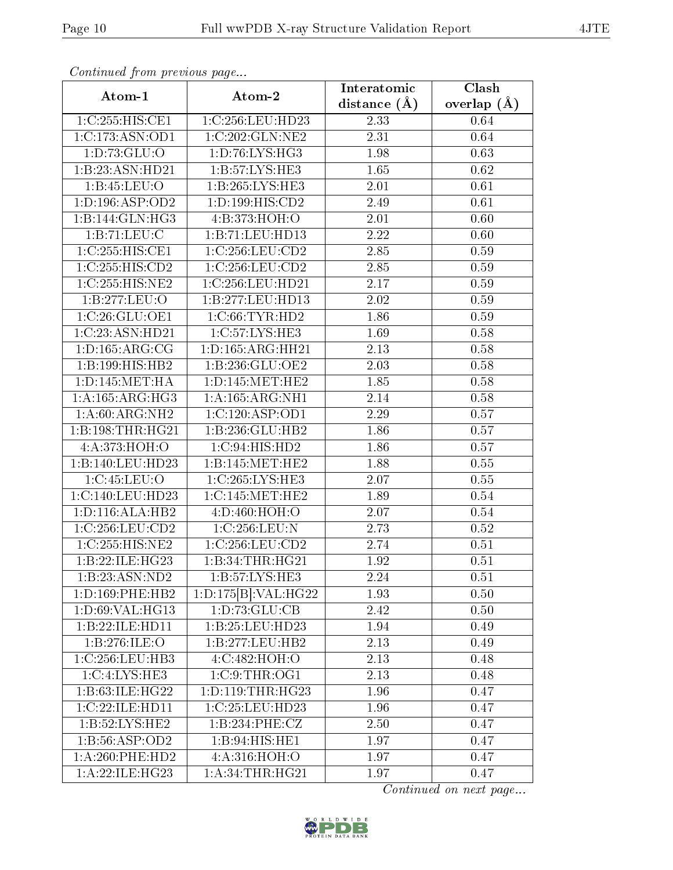| Atom-1                            | Atom-2                               | Interatomic      | $\overline{\text{Clash}}$ |
|-----------------------------------|--------------------------------------|------------------|---------------------------|
|                                   |                                      | distance $(\AA)$ | overlap $(A)$             |
| 1:C:255:HIS:CE1                   | 1:C:256:LEU:HD23                     | 2.33             | 0.64                      |
| 1:C:173:ASN:OD1                   | 1:C:202:GLN:NE2                      | 2.31             | 0.64                      |
| 1: D: 73: GLU: O                  | 1: D: 76: LYS: HG3                   | 1.98             | 0.63                      |
| 1:B:23:ASN:HD21                   | 1:B:57:LYS:HE3                       | 1.65             | 0.62                      |
| 1:B:45:LEU:O                      | 1:B:265:LYS:HE3                      | 2.01             | 0.61                      |
| 1: D: 196: ASP: OD2               | 1: D: 199: HIS: CD2                  | 2.49             | 0.61                      |
| 1:B:144:GLN:HG3                   | 4:B:373:HOH:O                        | 2.01             | 0.60                      |
| 1:B:71:LEU:C                      | 1:B:71:LEU:HD13                      | 2.22             | 0.60                      |
| 1:C:255:HIS:CE1                   | 1:C:256:LEU:CD2                      | 2.85             | 0.59                      |
| 1:C:255:HIS:CD2                   | 1:C:256:LEU:CD2                      | 2.85             | 0.59                      |
| 1:C:255:HIS:NE2                   | 1:C:256:LEU:HD21                     | 2.17             | 0.59                      |
| 1:B:277:LEU:O                     | 1:B:277:LEU:HD13                     | 2.02             | 0.59                      |
| 1:C:26:GLU:OE1                    | 1:C:66:TYR:HD2                       | 1.86             | 0.59                      |
| 1:C:23:ASN:HD21                   | 1:C:57:LYS:HE3                       | 1.69             | 0.58                      |
| 1: D: 165: ARG: CG                | 1: D: 165: ARG: HH21                 | 2.13             | 0.58                      |
| 1:B:199:HIS:HB2                   | 1:B:236:GLU:OE2                      | 2.03             | 0.58                      |
| 1: D: 145: MET: HA                | 1: D: 145: MET: HE2                  | 1.85             | 0.58                      |
| 1: A: 165: ARG: HG3               | 1: A: 165: ARG: NH1                  | 2.14             | $0.58\,$                  |
| 1: A:60: ARG: NH2                 | $1:C:120: \overline{\text{ASP:OD1}}$ | 2.29             | 0.57                      |
| 1:B:198:THR:HG21                  | 1:B:236:GLU:HB2                      | 1.86             | 0.57                      |
| 4: A:373:HOH:O                    | 1:C:94:HIS:HD2                       | 1.86             | 0.57                      |
| 1:B:140:LEU:HD23                  | $1:$ B:145:MET:HE2                   | 1.88             | 0.55                      |
| 1:C:45:LEU:O                      | 1:C:265:LYS:HE3                      | 2.07             | 0.55                      |
| $1:C:140:L\overline{EU:HD23}$     | 1:C:145:MET:HE2                      | 1.89             | 0.54                      |
| 1: D: 116: ALA: HB2               | 4:D:460:HOH:O                        | 2.07             | 0.54                      |
| 1:C:256:LEU:CD2                   | 1:C:256:LEU:N                        | 2.73             | 0.52                      |
| 1:C:255:HIS:NE2                   | 1:C:256:LEU:CD2                      | 2.74             | 0.51                      |
| 1:B:22:ILE:HG23                   | 1:B:34:THR:HG21                      | 1.92             | 0.51                      |
| 1:B:23:ASN:ND2                    | 1:B:57:LYS:HE3                       | 2.24             | 0.51                      |
| 1: D: 169: PHE: HB2               | 1:D:175[B]:VAL:H G22                 | 1.93             | 0.50                      |
| 1: D:69: VAL:HG13                 | 1: D: 73: GLU: CB                    | 2.42             | $0.50\,$                  |
| 1:B:22:ILE:HD11                   | 1:B:25:LEU:HD23                      | 1.94             | 0.49                      |
| 1:B:276:ILE:O                     | 1:B:277:LEU:HB2                      | 2.13             | 0.49                      |
| 1:C:256:LEU:HB3                   | 4:C:482:HOH:O                        | 2.13             | 0.48                      |
| $1:C:4:\overline{\text{LYS:HE3}}$ | 1:C:9:THR:OG1                        | 2.13             | 0.48                      |
| 1:B:63:ILE:HG22                   | 1:D:119:THR:HG23                     | 1.96             | 0.47                      |
| 1:C:22:ILE:HD11                   | 1:C:25:LEU:HD23                      | 1.96             | 0.47                      |
| 1: B:52: LYS: HE2                 | 1:B:234:PHE:CZ                       | 2.50             | 0.47                      |
| 1:B:56:ASP:OD2                    | 1:B:94:HIS:HET                       | 1.97             | 0.47                      |
| 1:A:260:PHE:HD2                   | 4:A:316:HOH:O                        | 1.97             | 0.47                      |
| 1:A:22:ILE:HG23                   | 1: A:34:THR:HG21                     | 1.97             | 0.47                      |

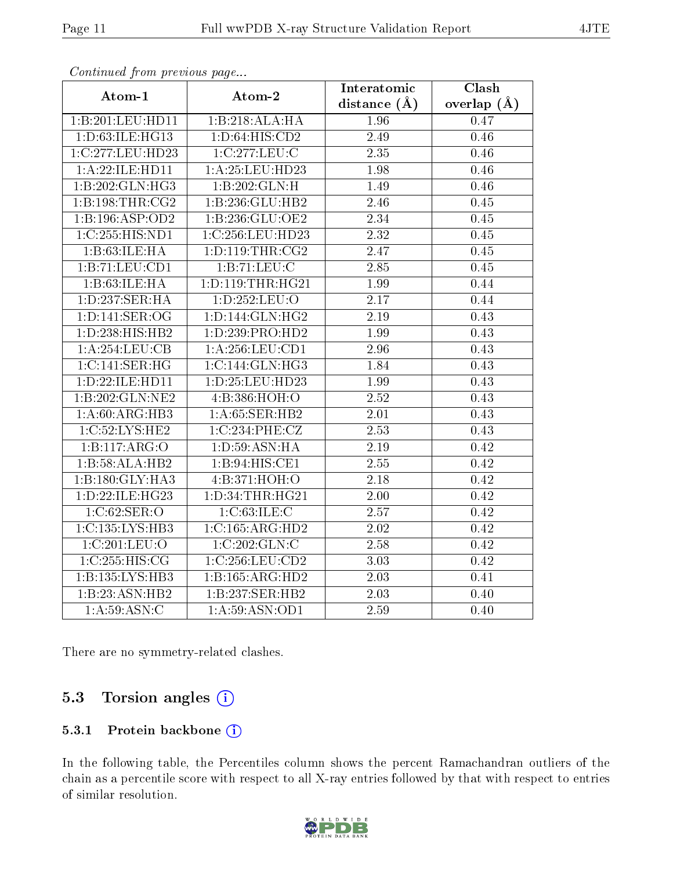| Atom-1              | Atom-2               | Interatomic       | Clash         |
|---------------------|----------------------|-------------------|---------------|
|                     |                      | distance $(\AA)$  | overlap $(A)$ |
| 1:B:201:LEU:HD11    | 1:B:218:ALA:HA       | 1.96              | 0.47          |
| 1:D:63:ILE:HG13     | 1: D:64: HIS:CD2     | 2.49              | 0.46          |
| 1:C:277:LEU:HD23    | 1:C:277:LEU:C        | 2.35              | 0.46          |
| 1:A:22:ILE:HD11     | 1:A:25:LEU:HD23      | 1.98              | 0.46          |
| 1:B:202:GLN:HG3     | 1:B:202:GLN:H        | 1.49              | 0.46          |
| 1: B: 198: THR: CG2 | 1:B:236:GLU:HB2      | 2.46              | 0.45          |
| 1:B:196:ASP:OD2     | 1:B:236:GLU:OE2      | 2.34              | 0.45          |
| 1:C:255:HIS:ND1     | 1:C:256:LEU:HD23     | $\overline{2.32}$ | 0.45          |
| 1:B:63:ILE:HA       | 1: D: 119: THR: CG2  | 2.47              | 0.45          |
| 1:B:71:LEU:CD1      | 1:B:71:LEU:C         | 2.85              | 0.45          |
| 1:B:63:ILE:HA       | 1: D: 119: THR: HG21 | 1.99              | 0.44          |
| 1: D: 237: SER:HA   | 1:D:252:LEU:O        | $\overline{2.17}$ | 0.44          |
| 1: D: 141: SER: OG  | 1: D: 144: GLN: HG2  | $2.19\,$          | 0.43          |
| 1: D: 238: HIS: HB2 | 1: D: 239: PRO: HD2  | 1.99              | 0.43          |
| 1:A:254:LEU:CB      | 1: A:256:LEU:CD1     | 2.96              | 0.43          |
| 1:C:141:SER:HG      | 1:C:144:GLN:HG3      | 1.84              | 0.43          |
| 1:D:22:ILE:HD11     | 1:D:25:LEU:HD23      | 1.99              | 0.43          |
| 1:B:202:GLN:NE2     | 4:B:386:HOH:O        | 2.52              | 0.43          |
| 1: A:60: ARG: HB3   | 1: A:65: SER:HB2     | $\overline{2.01}$ | 0.43          |
| 1:C:52:LYS:HE2      | 1:C:234:PHE:CZ       | 2.53              | 0.43          |
| 1:B:117:ARG:O       | 1: D: 59: ASN: HA    | $\overline{2.19}$ | 0.42          |
| 1:B:58:ALA:HB2      | 1:B:94:HIS:CE1       | 2.55              | 0.42          |
| 1:B:180:GLY:HA3     | 4:B:371:HOH:O        | 2.18              | 0.42          |
| 1:D:22:ILE:HG23     | 1: D: 34: THR: HG21  | 2.00              | 0.42          |
| 1:C:62:SER:O        | 1:C:63:ILE:C         | $\overline{2.57}$ | 0.42          |
| 1:C:135:LYS:HB3     | 1:C:165:ARG:HD2      | $\overline{2.02}$ | 0.42          |
| 1:C:201:LEU:O       | 1:C:202:GLN:C        | 2.58              | 0.42          |
| 1:C:255:HIS:CG      | 1:C:256:LEU:CD2      | 3.03              | 0.42          |
| 1:B:135:LYS:HB3     | 1:B:165:ARG:HD2      | 2.03              | 0.41          |
| 1:B:23:ASN:HB2      | 1:B:237:SER:HB2      | 2.03              | 0.40          |
| 1: A:59: ASN: C     | 1:A:59:ASN:OD1       | 2.59              | 0.40          |

There are no symmetry-related clashes.

### 5.3 Torsion angles (i)

#### 5.3.1 Protein backbone (i)

In the following table, the Percentiles column shows the percent Ramachandran outliers of the chain as a percentile score with respect to all X-ray entries followed by that with respect to entries of similar resolution.

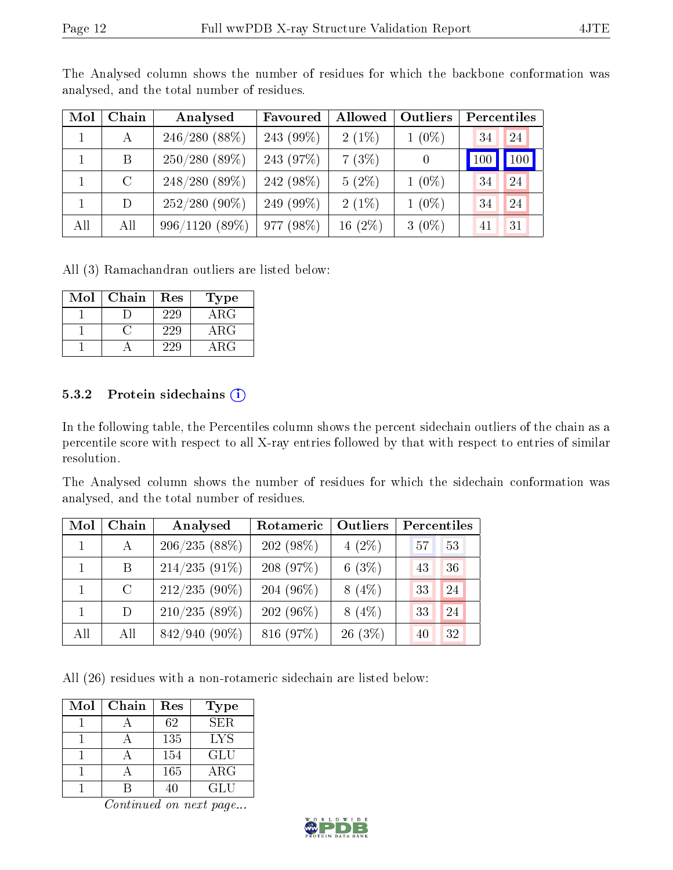| Mol | Chain   | Analysed         | Favoured  | Allowed    | Outliers         |     | Percentiles |
|-----|---------|------------------|-----------|------------|------------------|-----|-------------|
|     | А       | $246/280(88\%)$  | 243 (99%) | $2(1\%)$   | $1(0\%)$         | 34  | 24          |
|     | B.      | $250/280(89\%)$  | 243 (97%) | 7(3%)      | $\left( \right)$ | 100 | $\vert$ 100 |
|     | $\rm C$ | $248/280(89\%)$  | 242 (98%) | $5(2\%)$   | $1(0\%)$         | 34  | 24          |
|     | D       | $252/280(90\%)$  | 249 (99%) | $2(1\%)$   | $1(0\%)$         | 34  | 24          |
| All | All     | $996/1120(89\%)$ | 977(98%)  | 16 $(2\%)$ | $3(0\%)$         | 41  | 31          |

The Analysed column shows the number of residues for which the backbone conformation was analysed, and the total number of residues.

All (3) Ramachandran outliers are listed below:

| Mol | Chain | Res | Type       |
|-----|-------|-----|------------|
|     |       | 229 | $\rm{ARG}$ |
|     |       | 229 | $\rm{ARG}$ |
|     |       | 229 | $\rm{ARG}$ |

#### 5.3.2 Protein sidechains  $(i)$

In the following table, the Percentiles column shows the percent sidechain outliers of the chain as a percentile score with respect to all X-ray entries followed by that with respect to entries of similar resolution.

The Analysed column shows the number of residues for which the sidechain conformation was analysed, and the total number of residues.

| Mol | Chain   | Analysed         | Rotameric      | Outliers  | Percentiles |
|-----|---------|------------------|----------------|-----------|-------------|
|     | A       | 206/235(88%)     | $202(98\%)$    | $4(2\%)$  | 53<br>57    |
|     | B       | $214/235(91\%)$  | 208(97%)       | 6 $(3\%)$ | 43<br>36    |
|     | $\rm C$ | $212/235(90\%)$  | 204 (96 $\%$ ) | $8(4\%)$  | 24<br>33    |
|     | D.      | $210/235(89\%)$  | $202(96\%)$    | $8(4\%)$  | 24<br>33    |
| All | All     | $842/940 (90\%)$ | 816 (97%)      | $26(3\%)$ | 32<br>40    |

All (26) residues with a non-rotameric sidechain are listed below:

| Mol | Chain | Res | Type       |
|-----|-------|-----|------------|
|     |       | 62  | <b>SER</b> |
|     |       | 135 | LYS        |
|     |       | 154 | GLU        |
|     |       | 165 | $\rm{ARG}$ |
|     |       |     | GLU        |

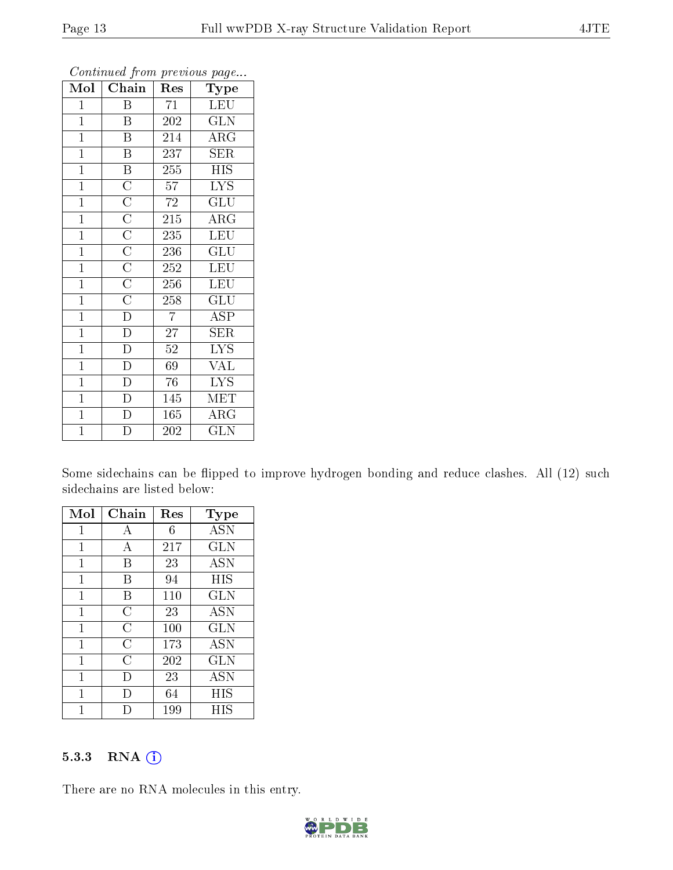| Mol            | Chain                                                                                                                                                                           | Res            | Type                      |
|----------------|---------------------------------------------------------------------------------------------------------------------------------------------------------------------------------|----------------|---------------------------|
| $\mathbf{1}$   | B                                                                                                                                                                               | 71             | <b>LEU</b>                |
| $\overline{1}$ | $\mathbf{B}$                                                                                                                                                                    | 202            | $\widetilde{{\rm GLN}}$   |
| $\mathbf{1}$   | $\overline{\mathrm{B}}$                                                                                                                                                         | 214            | ARG                       |
| $\mathbf{1}$   | $\overline{\mathrm{B}}$                                                                                                                                                         | 237            | $\rm{SER}$                |
| $\mathbf{1}$   | $\overline{\mathbf{B}}$                                                                                                                                                         | 255            | <b>HIS</b>                |
| $\mathbf{1}$   |                                                                                                                                                                                 | 57             | <b>LYS</b>                |
| $\overline{1}$ | $\overline{\text{C}}$ $\overline{\text{C}}$ $\overline{\text{C}}$ $\overline{\text{C}}$ $\overline{\text{C}}$ $\overline{\text{C}}$ $\overline{\text{C}}$ $\overline{\text{C}}$ | 72             | $\overline{{\rm GLU}}$    |
| $\overline{1}$ |                                                                                                                                                                                 | 215            | $\rm{ARG}$                |
| $\mathbf{1}$   |                                                                                                                                                                                 | 235            | LEU                       |
| $\mathbf{1}$   |                                                                                                                                                                                 | 236            | $\overline{\mathrm{GLU}}$ |
| $\mathbf{1}$   |                                                                                                                                                                                 | 252            | <b>LEU</b>                |
| $\mathbf{1}$   |                                                                                                                                                                                 | 256            | LEU                       |
| $\mathbf{1}$   |                                                                                                                                                                                 | 258            | GLU                       |
| $\mathbf{1}$   | $\overline{D}$                                                                                                                                                                  | $\overline{7}$ | <b>ASP</b>                |
| $\mathbf{1}$   | $\overline{D}$                                                                                                                                                                  | 27             | $\rm{SER}$                |
| $\mathbf{1}$   | $\overline{\mathbf{D}}$                                                                                                                                                         | $52\,$         | <b>LYS</b>                |
| $\mathbf{1}$   | $\overline{\rm D}$                                                                                                                                                              | 69             | $\overline{\text{VAL}}$   |
| $\mathbf{1}$   | $\overline{\mathbb{D}}$                                                                                                                                                         | 76             | <b>LYS</b>                |
| $\mathbf{1}$   | D                                                                                                                                                                               | 145            | MET                       |
| $\mathbf{1}$   | $\overline{D}$                                                                                                                                                                  | 165            | ARG                       |
| $\overline{1}$ | $\overline{\rm D}$                                                                                                                                                              | 202            | <b>GLN</b>                |

Some sidechains can be flipped to improve hydrogen bonding and reduce clashes. All (12) such sidechains are listed below:

| Mol          | Chain          | Res | Type       |
|--------------|----------------|-----|------------|
| 1            | А              | 6   | <b>ASN</b> |
| $\mathbf{1}$ | А              | 217 | GLN        |
| $\mathbf{1}$ | В              | 23  | <b>ASN</b> |
| $\mathbf{1}$ | В              | 94  | HIS        |
| 1            | В              | 110 | <b>GLN</b> |
| 1            | $\overline{C}$ | 23  | <b>ASN</b> |
| 1            | $\overline{C}$ | 100 | <b>GLN</b> |
| 1            | C              | 173 | <b>ASN</b> |
| 1            | $\overline{C}$ | 202 | <b>GLN</b> |
| 1            | $\Box$         | 23  | ASN        |
| 1            | I)             | 64  | HIS        |
| 1            |                | 199 | НIS        |

#### 5.3.3 RNA (i)

There are no RNA molecules in this entry.

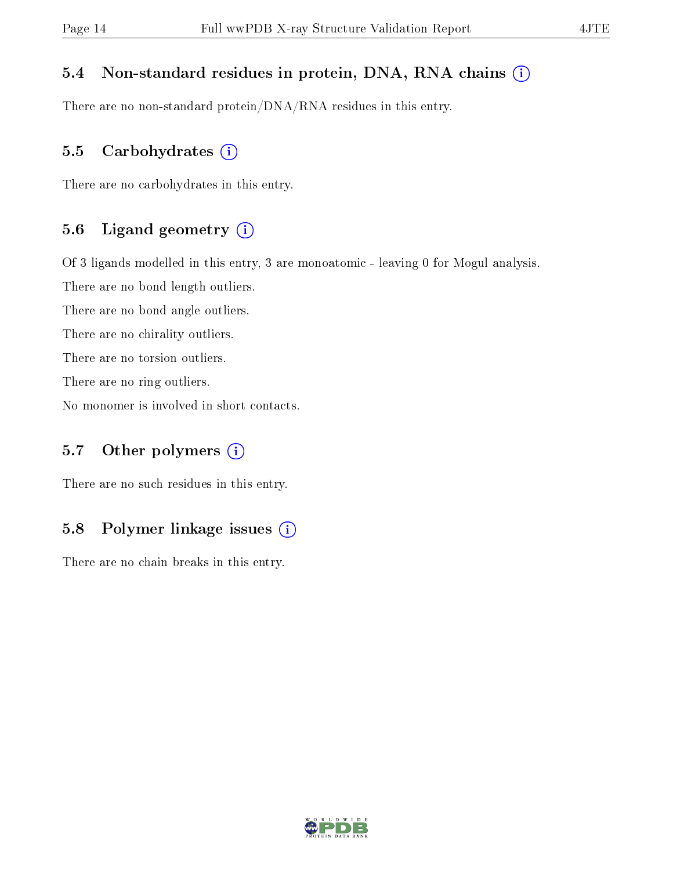#### 5.4 Non-standard residues in protein, DNA, RNA chains (i)

There are no non-standard protein/DNA/RNA residues in this entry.

#### 5.5 Carbohydrates  $(i)$

There are no carbohydrates in this entry.

#### 5.6 Ligand geometry (i)

Of 3 ligands modelled in this entry, 3 are monoatomic - leaving 0 for Mogul analysis.

There are no bond length outliers.

There are no bond angle outliers.

There are no chirality outliers.

There are no torsion outliers.

There are no ring outliers.

No monomer is involved in short contacts.

#### 5.7 [O](https://www.wwpdb.org/validation/2017/XrayValidationReportHelp#nonstandard_residues_and_ligands)ther polymers  $(i)$

There are no such residues in this entry.

#### 5.8 Polymer linkage issues  $(i)$

There are no chain breaks in this entry.

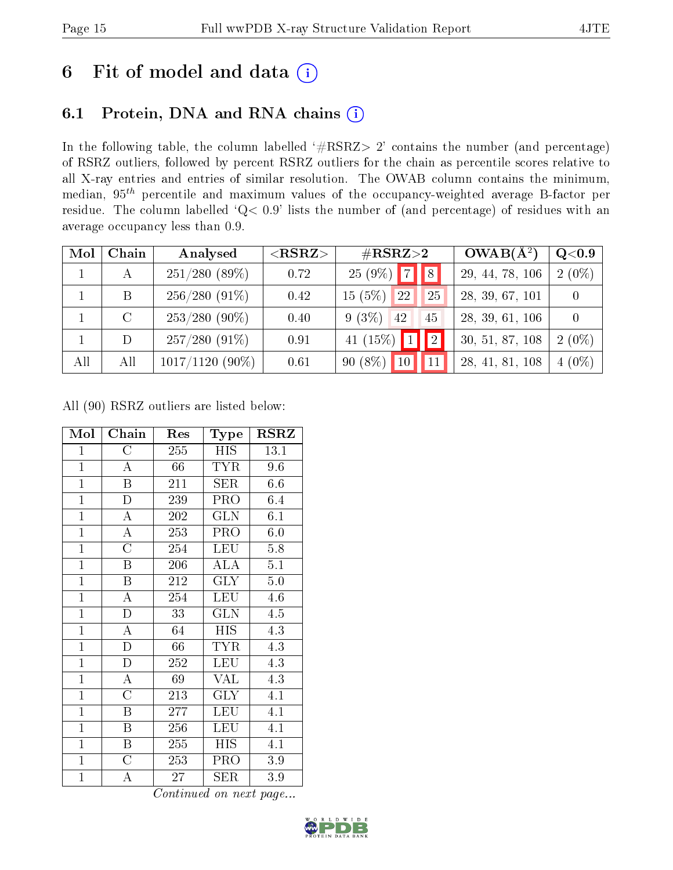## 6 Fit of model and data  $(i)$

### 6.1 Protein, DNA and RNA chains  $(i)$

In the following table, the column labelled  $#RSRZ> 2'$  contains the number (and percentage) of RSRZ outliers, followed by percent RSRZ outliers for the chain as percentile scores relative to all X-ray entries and entries of similar resolution. The OWAB column contains the minimum, median,  $95<sup>th</sup>$  percentile and maximum values of the occupancy-weighted average B-factor per residue. The column labelled ' $Q< 0.9$ ' lists the number of (and percentage) of residues with an average occupancy less than 0.9.

| Mol | Chain   | Analysed          | ${ <\hspace{-1.5pt}{\mathrm{RSRZ}} \hspace{-1.5pt}>}$ | $\#\text{RSRZ}{>}2$           | $OWAB(A^2)$     | $Q<$ 0.9 |
|-----|---------|-------------------|-------------------------------------------------------|-------------------------------|-----------------|----------|
|     | А       | 251/280(89%)      | 0.72                                                  | $25(9\%)$ 7 8                 | 29, 44, 78, 106 | $2(0\%)$ |
|     | B       | $256/280(91\%)$   | 0.42                                                  | 15(5%)<br><sup>22</sup><br>25 | 28, 39, 67, 101 |          |
|     | $\rm C$ | $253/280(90\%)$   | 0.40                                                  | $9(3\%)$<br>42<br>45          | 28, 39, 61, 106 |          |
|     | D       | $257/280(91\%)$   | 0.91                                                  | 2 <br>41 $(15\%)$ 1           | 30, 51, 87, 108 | $2(0\%)$ |
| All | All     | $1017/1120(90\%)$ | 0.61                                                  | $90(8\%)$<br>10 <sub>1</sub>  | 28, 41, 81, 108 | $4(0\%)$ |

All (90) RSRZ outliers are listed below:

| Mol            | ${\bf Chain}$           | Res               | Type       | $_{\rm RSRZ}$ |  |
|----------------|-------------------------|-------------------|------------|---------------|--|
| $\mathbf{1}$   | $\overline{\rm C}$      | 255               | HIS        | 13.1          |  |
| $\overline{1}$ | $\boldsymbol{A}$        | 66<br><b>TYR</b>  |            | 9.6           |  |
| $\mathbf{1}$   | $\overline{\mathrm{B}}$ | 211               | <b>SER</b> | 6.6           |  |
| $\overline{1}$ | $\overline{\rm D}$      | 239               | PRO        | 6.4           |  |
| $\overline{1}$ | $\overline{\rm A}$      | 202               | <b>GLN</b> | 6.1           |  |
| $\overline{1}$ | $\overline{\rm A}$      | 253               | PRO        | 6.0           |  |
| $\mathbf{1}$   | $\overline{\rm C}$      | 254               | <b>LEU</b> | 5.8           |  |
| $\mathbf{1}$   | B                       | 206               | <b>ALA</b> | 5.1           |  |
| $\overline{1}$ | $\overline{\mathrm{B}}$ | 212               | <b>GLY</b> | $5.0\,$       |  |
| $\overline{1}$ | $\overline{\rm A}$      | 254               | <b>LEU</b> | 4.6           |  |
| $\mathbf{1}$   | D                       | 33                | <b>GLN</b> | 4.5           |  |
| $\overline{1}$ | $\overline{\rm A}$      | 64                | <b>HIS</b> | 4.3           |  |
| $\overline{1}$ | $\overline{\rm D}$      | 66                | <b>TYR</b> | 4.3           |  |
| $\overline{1}$ | $\overline{D}$          | 252               | <b>LEU</b> | 4.3           |  |
| $\overline{1}$ | $\overline{\rm A}$      | 69                | VAL        | 4.3           |  |
| $\mathbf{1}$   | $\overline{\rm C}$      | 213               | <b>GLY</b> | 4.1           |  |
| $\overline{1}$ | Β                       | 277               | LEU        | 4.1           |  |
| $\mathbf{1}$   | Β                       | 256               | LEU        | 4.1           |  |
| $\overline{1}$ | $\overline{\mathrm{B}}$ | 255<br><b>HIS</b> |            | 4.1           |  |
| $\mathbf{1}$   | $\overline{\rm C}$      | 253               | <b>PRO</b> | 3.9           |  |
| $\mathbf{1}$   | А                       | 27                | SER        | 3.9           |  |

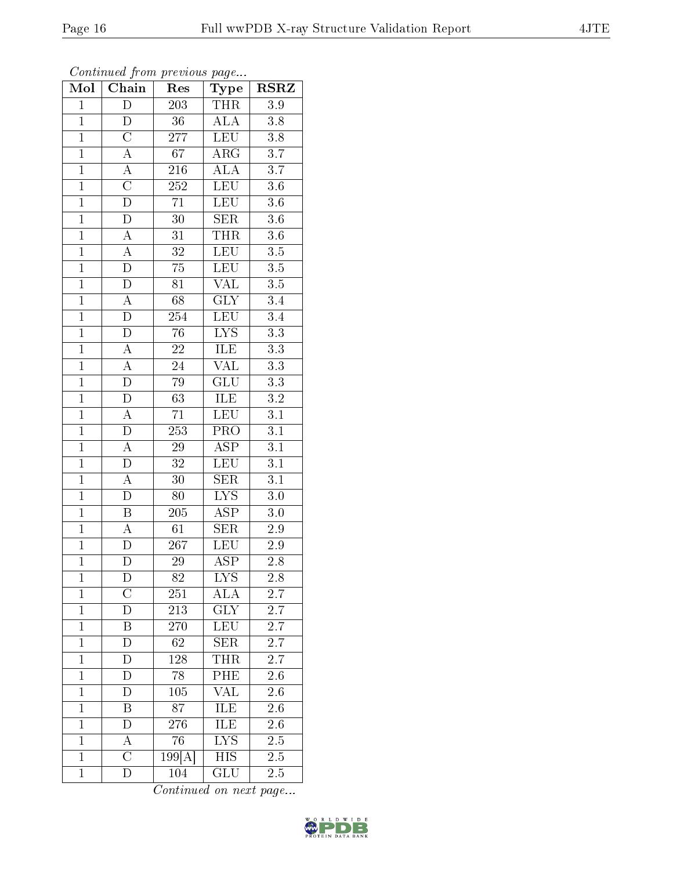| Mol            | Chain              | Res                                | Type                     | $\rm RSRZ$       |
|----------------|--------------------|------------------------------------|--------------------------|------------------|
| $\overline{1}$ | $\overline{\rm D}$ | <b>THR</b><br>203                  |                          | 3.9              |
| $\mathbf{1}$   | D                  | $36\,$                             | <b>ALA</b>               | 3.8              |
| $\overline{1}$ | $\overline{\rm C}$ | LEU<br>$\overline{277}$            |                          | $\overline{3.8}$ |
| $\overline{1}$ | $\overline{\rm A}$ | $\overline{67}$<br>$\rm{ARG}$      |                          | $\overline{3.7}$ |
| $\overline{1}$ | $\overline{A}$     | $\overline{\rm ALA}$<br><b>216</b> |                          | $\overline{3.7}$ |
| $\overline{1}$ | $\overline{\rm C}$ | 252                                | <b>LEU</b>               | $3.6\,$          |
| $\overline{1}$ | $\overline{\rm D}$ | $\overline{71}$                    | LEU                      | $\overline{3.6}$ |
| $\overline{1}$ | $\overline{\rm D}$ | $\overline{30}$                    | <b>SER</b>               | 3.6              |
| $\overline{1}$ | A                  | 31                                 | <b>THR</b>               | $3.6\,$          |
| $\overline{1}$ | $\overline{A}$     | $\overline{32}$                    | <b>LEU</b>               | $\overline{3.5}$ |
| $\mathbf{1}$   | ${\rm D}$          | $75\,$                             | <b>LEU</b>               | $\overline{3.5}$ |
| $\overline{1}$ | $\overline{\rm D}$ | 81                                 | $\overline{\text{VAL}}$  | $\overline{3.5}$ |
| $\mathbf{1}$   | $\overline{\rm A}$ | $\overline{68}$                    | $\overline{\text{GLY}}$  | 3.4              |
| $\overline{1}$ | $\overline{\rm D}$ | 254                                | <b>LEU</b>               | $\overline{3.4}$ |
| $\overline{1}$ | $\overline{\rm D}$ | $\overline{76}$                    | $\overline{\text{LYS}}$  | $\overline{3.3}$ |
| $\mathbf{1}$   | $\boldsymbol{A}$   | $\sqrt{22}$                        | ILE                      | $\overline{3.3}$ |
| $\overline{1}$ | $\overline{A}$     | 24                                 | $\overline{\text{VAL}}$  | $\overline{3.3}$ |
| $\mathbf{1}$   | $\overline{\rm D}$ | $79\,$                             | $\overline{\text{GLU}}$  | $\overline{3.3}$ |
| $\overline{1}$ | D                  | $\overline{63}$                    | $I\overline{\text{LE}}$  | $\overline{3.2}$ |
| $\overline{1}$ | $\overline{\rm A}$ | $\overline{71}$                    | <b>LEU</b>               | $\overline{3.1}$ |
| $\mathbf{1}$   | $\overline{\rm D}$ | 253                                | PRO                      | $\overline{3.1}$ |
| $\overline{1}$ | $\overline{A}$     | $\overline{29}$                    | <b>ASP</b>               | $\overline{3.1}$ |
| $\overline{1}$ | $\overline{D}$     | 32                                 | $\overline{\text{LE}}$ U | 3.1              |
| $\overline{1}$ | A                  | $\overline{30}$                    | $\overline{\text{SER}}$  | $\overline{3.1}$ |
| $\overline{1}$ | $\overline{\rm D}$ | 80                                 | <b>LYS</b>               | $3.0\,$          |
| $\mathbf{1}$   | $\boldsymbol{B}$   | 205                                | <b>ASP</b>               | $3.0\,$          |
| $\overline{1}$ | $\overline{\rm A}$ | 61                                 | $\overline{\text{SER}}$  | 2.9              |
| $\overline{1}$ | $\overline{D}$     | 267                                | $\overline{\text{LEU}}$  | 2.9              |
| $\overline{1}$ | $\overline{\rm D}$ | $\overline{29}$                    | $\overline{\rm ASP}$     | $2.8\,$          |
| $\mathbf 1$    | D                  | 82                                 | LYS                      | 2.8              |
| $\mathbf 1$    | $\mathcal C$       | 251                                | $\overline{\text{ALA}}$  | 2.7              |
| $\mathbf{1}$   | D                  | 213                                | GLY                      | 2.7              |
| $\mathbf{1}$   | $\boldsymbol{B}$   | 270                                | <b>LEU</b>               | 2.7              |
| $\mathbf{1}$   | $\overline{\rm D}$ | 62                                 | $\overline{\text{SER}}$  | $2.\overline{7}$ |
| $\mathbf{1}$   | D                  | 128                                | THR                      | 2.7              |
| $\mathbf 1$    | D                  | 78                                 | PHE                      | 2.6              |
| $\mathbf{1}$   | $\overline{D}$     | 105                                | <b>VAL</b>               | 2.6              |
| $\mathbf{1}$   | B                  | 87                                 | ILE                      | 2.6              |
| $\mathbf{1}$   | $\overline{\rm D}$ | $27\overline{6}$                   | <b>ILE</b>               | $\overline{2.6}$ |
| $\mathbf{1}$   | А                  | 76                                 | LYS                      | $2.5\,$          |
| $\overline{1}$ | $\overline{\rm C}$ | 199[A]                             | HIS                      | $2.5\,$          |
| $\mathbf{1}$   | D                  | 104                                | GLU                      | 2.5              |

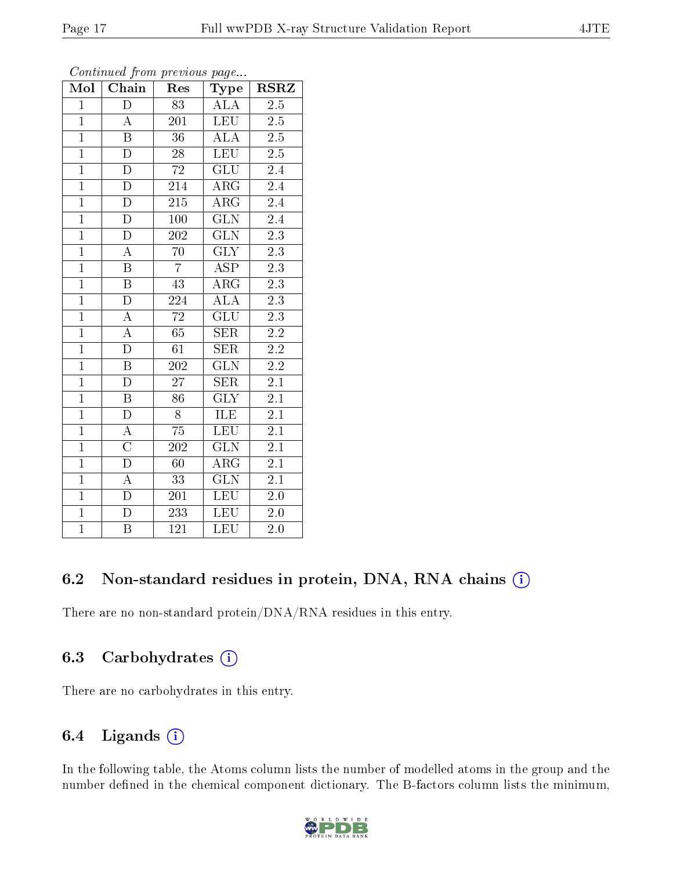| Mol            | Chain                   | Res              | <b>Type</b>             |                  |  |
|----------------|-------------------------|------------------|-------------------------|------------------|--|
| $\overline{1}$ | $\overline{D}$          | 83               | <b>ALA</b>              | 2.5              |  |
| $\overline{1}$ | $\overline{A}$          | $20\overline{1}$ | <b>LEU</b>              | 2.5              |  |
| $\overline{1}$ | $\overline{\mathbf{B}}$ | $\overline{36}$  | $\overline{\text{ALA}}$ | $\overline{2.5}$ |  |
| $\overline{1}$ | $\overline{\rm D}$      | $\overline{28}$  | LEU                     | $\overline{2.5}$ |  |
| $\overline{1}$ | $\overline{\rm D}$      | $\overline{72}$  | $\overline{\text{GLU}}$ | $\overline{2.4}$ |  |
| $\overline{1}$ | $\overline{\rm D}$      | 214              | $\overline{\rm{ARG}}$   | $\overline{2.4}$ |  |
| $\overline{1}$ | $\overline{\rm D}$      | 215              | $\rm{ARG}$              | $\overline{2.4}$ |  |
| $\overline{1}$ | $\overline{\rm D}$      | 100              | $\overline{\text{GLN}}$ | $\overline{2.4}$ |  |
| $\overline{1}$ | $\overline{\rm D}$      | $\overline{202}$ | $\overline{\text{GLN}}$ | $\overline{2.3}$ |  |
| $\overline{1}$ | $\overline{A}$          | $\overline{70}$  | $\overline{\text{GLY}}$ | $2.\overline{3}$ |  |
| $\overline{1}$ | $\overline{\mathrm{B}}$ | $\overline{7}$   | $\overline{\text{ASP}}$ | $\overline{2.3}$ |  |
| $\overline{1}$ | $\overline{\mathrm{B}}$ | $\overline{43}$  | $\overline{\rm{ARG}}$   | $\overline{2.3}$ |  |
| $\overline{1}$ | $\overline{D}$          | 224              | <b>ALA</b>              | 2.3              |  |
| $\overline{1}$ | $\overline{\rm A}$      | $\overline{72}$  | $\overline{{\rm GLU}}$  | $\overline{2.3}$ |  |
| $\overline{1}$ | $\overline{A}$          | $\overline{65}$  | $\overline{\text{SER}}$ | $\overline{2.2}$ |  |
| $\overline{1}$ | $\overline{\rm D}$      | $\overline{61}$  | <b>SER</b>              | $\overline{2.2}$ |  |
| $\overline{1}$ | $\overline{\mathrm{B}}$ | $\overline{202}$ | $\overline{\text{GLN}}$ | $\overline{2.2}$ |  |
| $\overline{1}$ | $\overline{\rm D}$      | $\overline{27}$  | $\overline{\text{SER}}$ | $\overline{2.1}$ |  |
| $\overline{1}$ | $\overline{B}$          | 86               | <b>GLY</b>              | $2\overline{.1}$ |  |
| $\overline{1}$ | $\overline{\rm D}$      | $\overline{8}$   | ILE                     | $\overline{2.1}$ |  |
| $\overline{1}$ | $\overline{A}$          | $\overline{75}$  | <b>LEU</b>              | $\overline{2.1}$ |  |
| $\overline{1}$ | $\overline{C}$          | 202              | $\overline{\text{GLN}}$ | $\overline{2.1}$ |  |
| $\overline{1}$ | $\overline{\rm D}$      | 60               | $\rm{ARG}$              | $2\overline{.1}$ |  |
| $\overline{1}$ | $\overline{A}$          | $\overline{33}$  | $\overline{\text{GLN}}$ | $\overline{2.1}$ |  |
| $\overline{1}$ | $\overline{D}$          | 201              | LEU                     | $2.0\,$          |  |
| $\overline{1}$ | $\overline{\rm D}$      | 233              | LEU                     | 2.0              |  |
| $\overline{1}$ | $\overline{\mathrm{B}}$ | 121              | LEU                     | $\overline{2.0}$ |  |

Continued from previous page...

### 6.2 Non-standard residues in protein, DNA, RNA chains (i)

There are no non-standard protein/DNA/RNA residues in this entry.

#### 6.3 Carbohydrates  $(i)$

There are no carbohydrates in this entry.

### 6.4 Ligands  $(i)$

In the following table, the Atoms column lists the number of modelled atoms in the group and the number defined in the chemical component dictionary. The B-factors column lists the minimum,